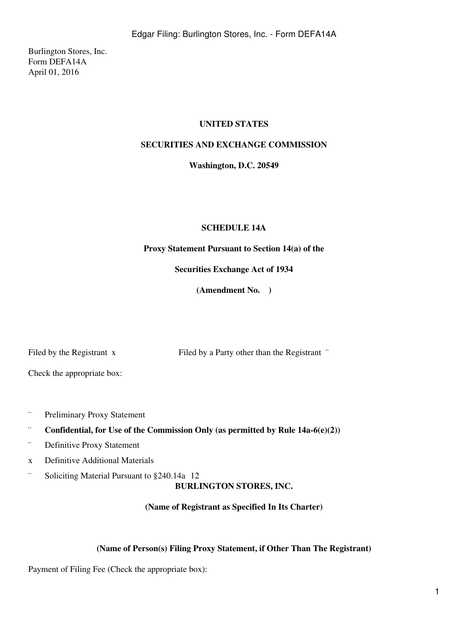Burlington Stores, Inc. Form DEFA14A April 01, 2016

## **UNITED STATES**

## **SECURITIES AND EXCHANGE COMMISSION**

**Washington, D.C. 20549**

## **SCHEDULE 14A**

**Proxy Statement Pursuant to Section 14(a) of the**

**Securities Exchange Act of 1934**

**(Amendment No. )**

Filed by the Registrant x Filed by a Party other than the Registrant "

Check the appropriate box:

- ¨ Preliminary Proxy Statement
- ¨ **Confidential, for Use of the Commission Only (as permitted by Rule 14a-6(e)(2))**
- ¨ Definitive Proxy Statement
- x Definitive Additional Materials
- ¨ Soliciting Material Pursuant to §240.14a12

**BURLINGTON STORES, INC.**

**(Name of Registrant as Specified In Its Charter)**

## **(Name of Person(s) Filing Proxy Statement, if Other Than The Registrant)**

Payment of Filing Fee (Check the appropriate box):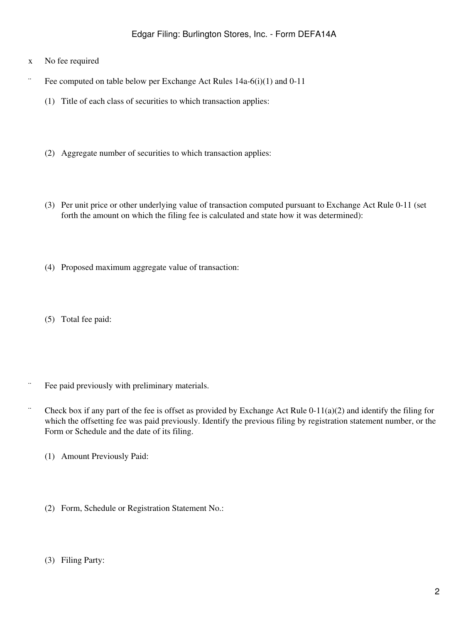- x No fee required
- Fee computed on table below per Exchange Act Rules  $14a-6(i)(1)$  and  $0-11$ 
	- (1) Title of each class of securities to which transaction applies:
	- (2) Aggregate number of securities to which transaction applies:
	- (3) Per unit price or other underlying value of transaction computed pursuant to Exchange Act Rule 0-11 (set forth the amount on which the filing fee is calculated and state how it was determined):
	- (4) Proposed maximum aggregate value of transaction:
	- (5) Total fee paid:
- ¨ Fee paid previously with preliminary materials.
- $\degree$  Check box if any part of the fee is offset as provided by Exchange Act Rule 0-11(a)(2) and identify the filing for which the offsetting fee was paid previously. Identify the previous filing by registration statement number, or the Form or Schedule and the date of its filing.
	- (1) Amount Previously Paid:
	- (2) Form, Schedule or Registration Statement No.:
	- (3) Filing Party: